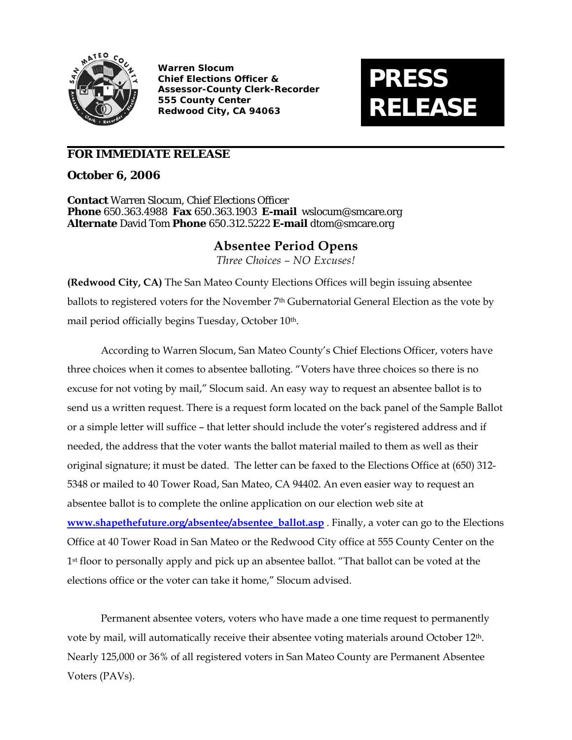

**Warren Slocum Chief Elections Officer & Assessor-County Clerk-Recorder 555 County Center Redwood City, CA 94063**

## **PRESS RELEASE**

## **FOR IMMEDIATE RELEASE**

**October 6, 2006** 

**Contact** Warren Slocum, Chief Elections Officer **Phone** 650.363.4988 **Fax** 650.363.1903 **E-mail** wslocum@smcare.org **Alternate** David Tom **Phone** 650.312.5222 **E-mail** dtom@smcare.org

## **Absentee Period Opens**

*Three Choices – NO Excuses!* 

**(Redwood City, CA)** The San Mateo County Elections Offices will begin issuing absentee ballots to registered voters for the November 7<sup>th</sup> Gubernatorial General Election as the vote by mail period officially begins Tuesday, October 10<sup>th</sup>.

According to Warren Slocum, San Mateo County's Chief Elections Officer, voters have three choices when it comes to absentee balloting. "Voters have three choices so there is no excuse for not voting by mail," Slocum said. An easy way to request an absentee ballot is to send us a written request. There is a request form located on the back panel of the Sample Ballot or a simple letter will suffice – that letter should include the voter's registered address and if needed, the address that the voter wants the ballot material mailed to them as well as their original signature; it must be dated. The letter can be faxed to the Elections Office at (650) 312- 5348 or mailed to 40 Tower Road, San Mateo, CA 94402. An even easier way to request an absentee ballot is to complete the online application on our election web site at **[www.shapethefuture.org/absentee/absentee\\_ballot.asp](http://www.shapethefuture.org/absentee/absentee_ballot.asp)** . Finally, a voter can go to the Elections Office at 40 Tower Road in San Mateo or the Redwood City office at 555 County Center on the 1<sup>st</sup> floor to personally apply and pick up an absentee ballot. "That ballot can be voted at the elections office or the voter can take it home," Slocum advised.

Permanent absentee voters, voters who have made a one time request to permanently vote by mail, will automatically receive their absentee voting materials around October 12<sup>th</sup>. Nearly 125,000 or 36% of all registered voters in San Mateo County are Permanent Absentee Voters (PAVs).